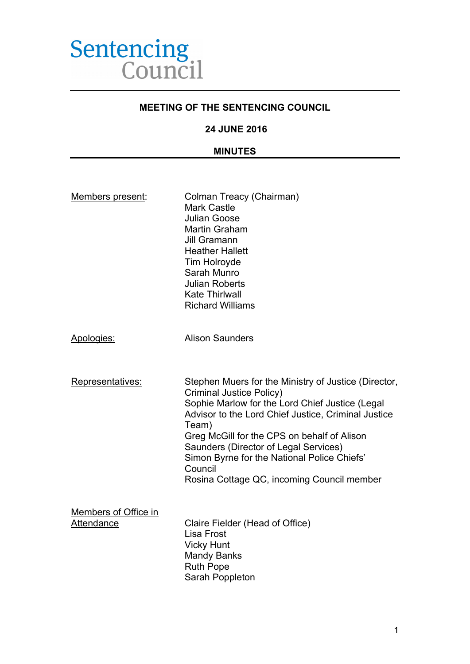

#### **MEETING OF THE SENTENCING COUNCIL**

#### **24 JUNE 2016**

#### **MINUTES**

| Members present:                   | Colman Treacy (Chairman)<br><b>Mark Castle</b><br><b>Julian Goose</b><br><b>Martin Graham</b><br>Jill Gramann<br><b>Heather Hallett</b><br>Tim Holroyde<br>Sarah Munro<br><b>Julian Roberts</b><br><b>Kate Thirlwall</b><br><b>Richard Williams</b>                                                                                                                                                 |
|------------------------------------|-----------------------------------------------------------------------------------------------------------------------------------------------------------------------------------------------------------------------------------------------------------------------------------------------------------------------------------------------------------------------------------------------------|
| Apologies:                         | <b>Alison Saunders</b>                                                                                                                                                                                                                                                                                                                                                                              |
| Representatives:                   | Stephen Muers for the Ministry of Justice (Director,<br>Criminal Justice Policy)<br>Sophie Marlow for the Lord Chief Justice (Legal<br>Advisor to the Lord Chief Justice, Criminal Justice<br>Team)<br>Greg McGill for the CPS on behalf of Alison<br>Saunders (Director of Legal Services)<br>Simon Byrne for the National Police Chiefs'<br>Council<br>Rosina Cottage QC, incoming Council member |
| Members of Office in<br>Attendance | Claire Fielder (Head of Office)<br>Lisa Frost<br><b>Vicky Hunt</b><br><b>Mandy Banks</b><br><b>Ruth Pope</b><br>Sarah Poppleton                                                                                                                                                                                                                                                                     |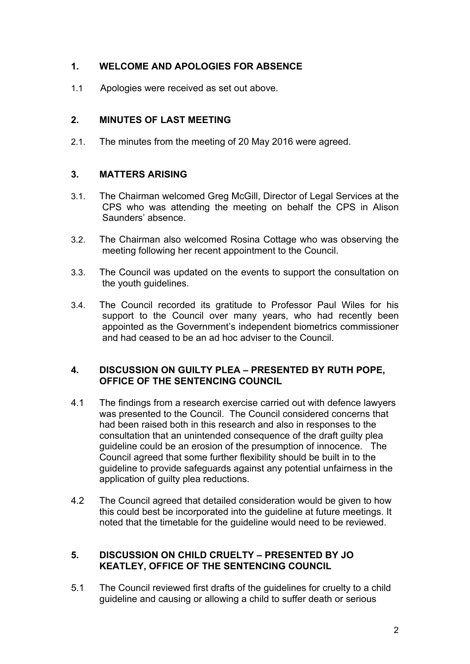# **1. WELCOME AND APOLOGIES FOR ABSENCE**

1.1 Apologies were received as set out above.

# **2. MINUTES OF LAST MEETING**

2.1. The minutes from the meeting of 20 May 2016 were agreed.

# **3. MATTERS ARISING**

- 3.1. The Chairman welcomed Greg McGill, Director of Legal Services at the CPS who was attending the meeting on behalf the CPS in Alison Saunders' absence.
- 3.2. The Chairman also welcomed Rosina Cottage who was observing the meeting following her recent appointment to the Council.
- 3.3. The Council was updated on the events to support the consultation on the youth guidelines.
- 3.4. The Council recorded its gratitude to Professor Paul Wiles for his support to the Council over many years, who had recently been appointed as the Government's independent biometrics commissioner and had ceased to be an ad hoc adviser to the Council.

## **4. DISCUSSION ON GUILTY PLEA – PRESENTED BY RUTH POPE, OFFICE OF THE SENTENCING COUNCIL**

- 4.1 The findings from a research exercise carried out with defence lawyers was presented to the Council. The Council considered concerns that had been raised both in this research and also in responses to the consultation that an unintended consequence of the draft guilty plea guideline could be an erosion of the presumption of innocence. The Council agreed that some further flexibility should be built in to the guideline to provide safeguards against any potential unfairness in the application of guilty plea reductions.
- 4.2 The Council agreed that detailed consideration would be given to how this could best be incorporated into the guideline at future meetings. It noted that the timetable for the guideline would need to be reviewed.

## **5. DISCUSSION ON CHILD CRUELTY – PRESENTED BY JO KEATLEY, OFFICE OF THE SENTENCING COUNCIL**

5.1 The Council reviewed first drafts of the guidelines for cruelty to a child guideline and causing or allowing a child to suffer death or serious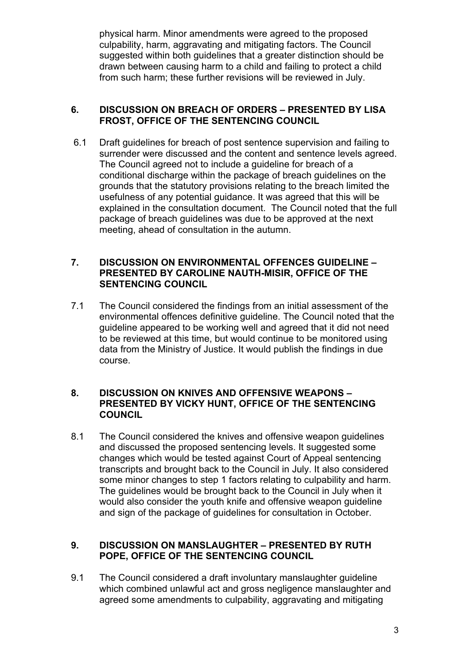physical harm. Minor amendments were agreed to the proposed culpability, harm, aggravating and mitigating factors. The Council suggested within both guidelines that a greater distinction should be drawn between causing harm to a child and failing to protect a child from such harm; these further revisions will be reviewed in July.

#### **6. DISCUSSION ON BREACH OF ORDERS – PRESENTED BY LISA FROST, OFFICE OF THE SENTENCING COUNCIL**

 6.1 Draft guidelines for breach of post sentence supervision and failing to surrender were discussed and the content and sentence levels agreed. The Council agreed not to include a guideline for breach of a conditional discharge within the package of breach guidelines on the grounds that the statutory provisions relating to the breach limited the usefulness of any potential guidance. It was agreed that this will be explained in the consultation document. The Council noted that the full package of breach guidelines was due to be approved at the next meeting, ahead of consultation in the autumn.

#### **7. DISCUSSION ON ENVIRONMENTAL OFFENCES GUIDELINE – PRESENTED BY CAROLINE NAUTH-MISIR, OFFICE OF THE SENTENCING COUNCIL**

7.1 The Council considered the findings from an initial assessment of the environmental offences definitive guideline. The Council noted that the guideline appeared to be working well and agreed that it did not need to be reviewed at this time, but would continue to be monitored using data from the Ministry of Justice. It would publish the findings in due course.

#### **8. DISCUSSION ON KNIVES AND OFFENSIVE WEAPONS – PRESENTED BY VICKY HUNT, OFFICE OF THE SENTENCING COUNCIL**

8.1 The Council considered the knives and offensive weapon guidelines and discussed the proposed sentencing levels. It suggested some changes which would be tested against Court of Appeal sentencing transcripts and brought back to the Council in July. It also considered some minor changes to step 1 factors relating to culpability and harm. The guidelines would be brought back to the Council in July when it would also consider the youth knife and offensive weapon guideline and sign of the package of guidelines for consultation in October.

## **9. DISCUSSION ON MANSLAUGHTER – PRESENTED BY RUTH POPE, OFFICE OF THE SENTENCING COUNCIL**

9.1 The Council considered a draft involuntary manslaughter guideline which combined unlawful act and gross negligence manslaughter and agreed some amendments to culpability, aggravating and mitigating